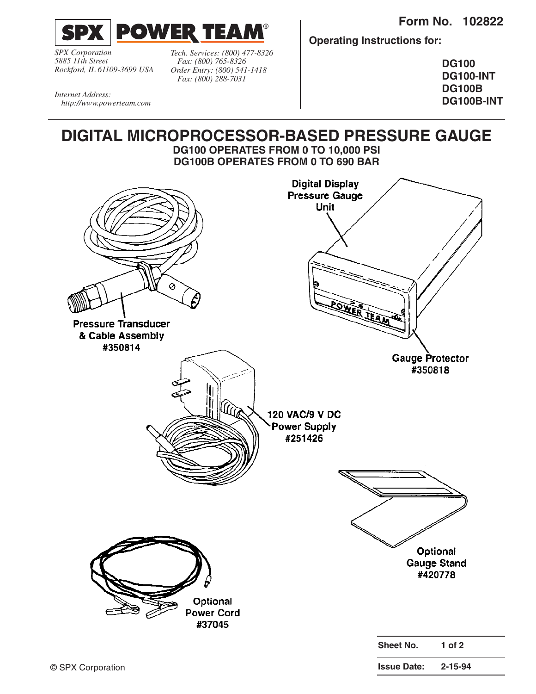**Form No. 102822**



*SPX Corporation 5885 11th Street Rockford, IL 61109-3699 USA*

*Tech. Services: (800) 477-8326 Fax: (800) 765-8326 Order Entry: (800) 541-1418 Fax: (800) 288-7031*

**Operating Instructions for:**

**DG100 DG100-INT DG100B DG100B-INT**

*Internet Address: http://www.powerteam.com*

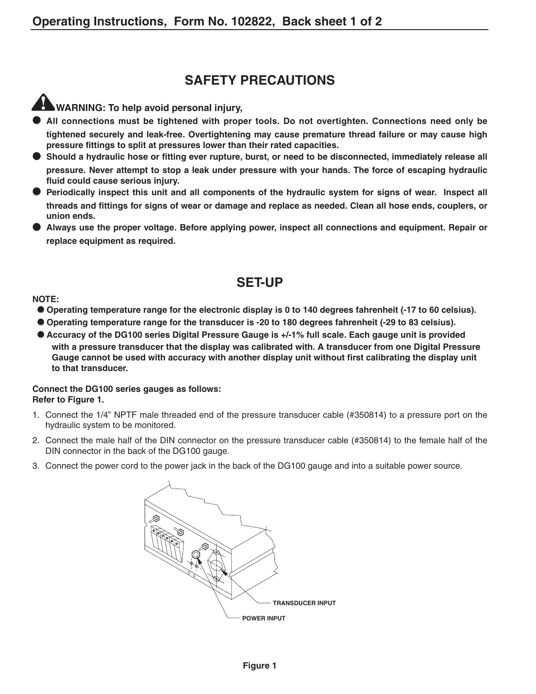# **SAFETY PRECAUTIONS**

**WARNING: To help avoid personal injury,**

- **All connections must be tightened with proper tools. Do not overtighten. Connections need only be tightened securely and leak-free. Overtightening may cause premature thread failure or may cause high pressure fittings to split at pressures lower than their rated capacities.**
- **Should a hydraulic hose or fitting ever rupture, burst, or need to be disconnected, immediately release all pressure. Never attempt to stop a leak under pressure with your hands. The force of escaping hydraulic fluid could cause serious injury.**
- **Periodically inspect this unit and all components of the hydraulic system for signs of wear. Inspect all threads and fittings for signs of wear or damage and replace as needed. Clean all hose ends, couplers, or union ends.**
- **Always use the proper voltage. Before applying power, inspect all connections and equipment. Repair or replace equipment as required.**

# **SET-UP**

### **NOTE:**

- **Operating temperature range for the electronic display is 0 to 140 degrees fahrenheit (-17 to 60 celsius).**
- **Operating temperature range for the transducer is -20 to 180 degrees fahrenheit (-29 to 83 celsius).**
- Accuracy of the DG100 series Digital Pressure Gauge is +/-1% full scale. Each gauge unit is provided **with a pressure transducer that the display was calibrated with. A transducer from one Digital Pressure Gauge cannot be used with accuracy with another display unit without first calibrating the display unit to that transducer.**

#### **Connect the DG100 series gauges as follows: Refer to Figure 1.**

- 1. Connect the 1/4" NPTF male threaded end of the pressure transducer cable (#350814) to a pressure port on the hydraulic system to be monitored.
- 2. Connect the male half of the DIN connector on the pressure transducer cable (#350814) to the female half of the DIN connector in the back of the DG100 gauge.
- 3. Connect the power cord to the power jack in the back of the DG100 gauge and into a suitable power source.

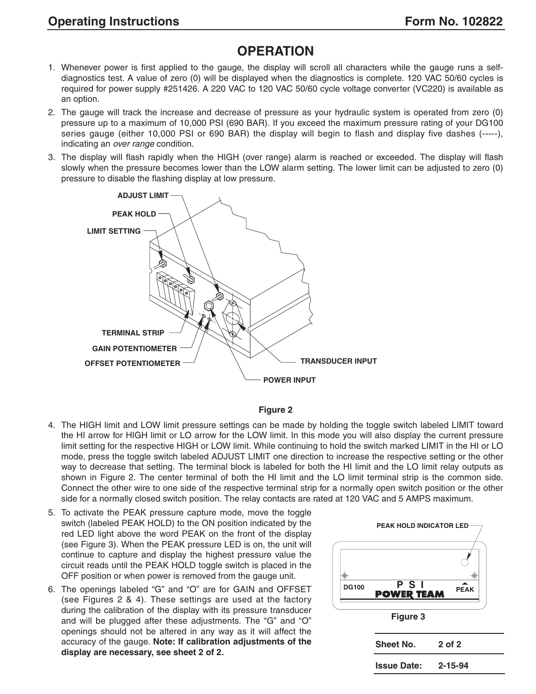# **OPERATION**

- 1. Whenever power is first applied to the gauge, the display will scroll all characters while the gauge runs a selfdiagnostics test. A value of zero (0) will be displayed when the diagnostics is complete. 120 VAC 50/60 cycles is required for power supply #251426. A 220 VAC to 120 VAC 50/60 cycle voltage converter (VC220) is available as an option.
- 2. The gauge will track the increase and decrease of pressure as your hydraulic system is operated from zero (0) pressure up to a maximum of 10,000 PSI (690 BAR). If you exceed the maximum pressure rating of your DG100 series gauge (either 10,000 PSI or 690 BAR) the display will begin to flash and display five dashes (-----), indicating an over range condition.
- 3. The display will flash rapidly when the HIGH (over range) alarm is reached or exceeded. The display will flash slowly when the pressure becomes lower than the LOW alarm setting. The lower limit can be adjusted to zero (0) pressure to disable the flashing display at low pressure.





- 4. The HIGH limit and LOW limit pressure settings can be made by holding the toggle switch labeled LIMIT toward the HI arrow for HIGH limit or LO arrow for the LOW limit. In this mode you will also display the current pressure limit setting for the respective HIGH or LOW limit. While continuing to hold the switch marked LIMIT in the HI or LO mode, press the toggle switch labeled ADJUST LIMIT one direction to increase the respective setting or the other way to decrease that setting. The terminal block is labeled for both the HI limit and the LO limit relay outputs as shown in Figure 2. The center terminal of both the HI limit and the LO limit terminal strip is the common side. Connect the other wire to one side of the respective terminal strip for a normally open switch position or the other side for a normally closed switch position. The relay contacts are rated at 120 VAC and 5 AMPS maximum.
- 5. To activate the PEAK pressure capture mode, move the toggle switch (labeled PEAK HOLD) to the ON position indicated by the red LED light above the word PEAK on the front of the display (see Figure 3). When the PEAK pressure LED is on, the unit will continue to capture and display the highest pressure value the circuit reads until the PEAK HOLD toggle switch is placed in the OFF position or when power is removed from the gauge unit.
- 6. The openings labeled "G" and "O" are for GAIN and OFFSET (see Figures 2 & 4). These settings are used at the factory during the calibration of the display with its pressure transducer and will be plugged after these adjustments. The "G" and "O" openings should not be altered in any way as it will affect the accuracy of the gauge. **Note: If calibration adjustments of the display are necessary, see sheet 2 of 2.**